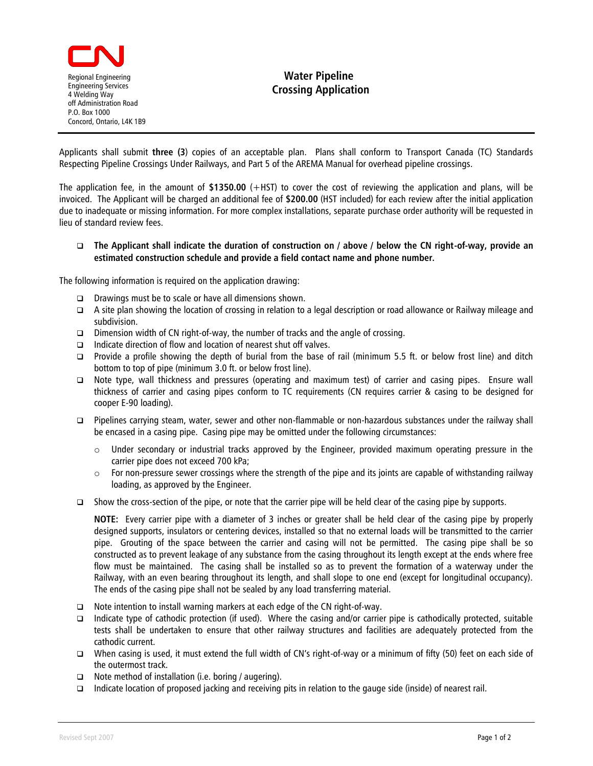

## **Water Pipeline Crossing Application**

Applicants shall submit **three (3**) copies of an acceptable plan. Plans shall conform to Transport Canada (TC) Standards Respecting Pipeline Crossings Under Railways, and Part 5 of the AREMA Manual for overhead pipeline crossings.

The application fee, in the amount of **\$1350.00** (+HST) to cover the cost of reviewing the application and plans, will be invoiced. The Applicant will be charged an additional fee of **\$200.00** (HST included) for each review after the initial application due to inadequate or missing information. For more complex installations, separate purchase order authority will be requested in lieu of standard review fees.

 **The Applicant shall indicate the duration of construction on / above / below the CN right-of-way, provide an estimated construction schedule and provide a field contact name and phone number.**

The following information is required on the application drawing:

- Drawings must be to scale or have all dimensions shown.
- A site plan showing the location of crossing in relation to a legal description or road allowance or Railway mileage and subdivision.
- **Dimension width of CN right-of-way, the number of tracks and the angle of crossing.**
- $\Box$  Indicate direction of flow and location of nearest shut off valves.
- Provide a profile showing the depth of burial from the base of rail (minimum 5.5 ft. or below frost line) and ditch bottom to top of pipe (minimum 3.0 ft. or below frost line).
- Note type, wall thickness and pressures (operating and maximum test) of carrier and casing pipes. Ensure wall thickness of carrier and casing pipes conform to TC requirements (CN requires carrier & casing to be designed for cooper E-90 loading).
- Pipelines carrying steam, water, sewer and other non-flammable or non-hazardous substances under the railway shall be encased in a casing pipe. Casing pipe may be omitted under the following circumstances:
	- $\circ$  Under secondary or industrial tracks approved by the Engineer, provided maximum operating pressure in the carrier pipe does not exceed 700 kPa;
	- $\circ$  For non-pressure sewer crossings where the strength of the pipe and its joints are capable of withstanding railway loading, as approved by the Engineer.
- Show the cross-section of the pipe, or note that the carrier pipe will be held clear of the casing pipe by supports.

**NOTE:** Every carrier pipe with a diameter of 3 inches or greater shall be held clear of the casing pipe by properly designed supports, insulators or centering devices, installed so that no external loads will be transmitted to the carrier pipe. Grouting of the space between the carrier and casing will not be permitted. The casing pipe shall be so constructed as to prevent leakage of any substance from the casing throughout its length except at the ends where free flow must be maintained. The casing shall be installed so as to prevent the formation of a waterway under the Railway, with an even bearing throughout its length, and shall slope to one end (except for longitudinal occupancy). The ends of the casing pipe shall not be sealed by any load transferring material.

- Note intention to install warning markers at each edge of the CN right-of-way.
- Indicate type of cathodic protection (if used). Where the casing and/or carrier pipe is cathodically protected, suitable tests shall be undertaken to ensure that other railway structures and facilities are adequately protected from the cathodic current.
- When casing is used, it must extend the full width of CN's right-of-way or a minimum of fifty (50) feet on each side of the outermost track.
- $\Box$  Note method of installation (i.e. boring / augering).
- Indicate location of proposed jacking and receiving pits in relation to the gauge side (inside) of nearest rail.